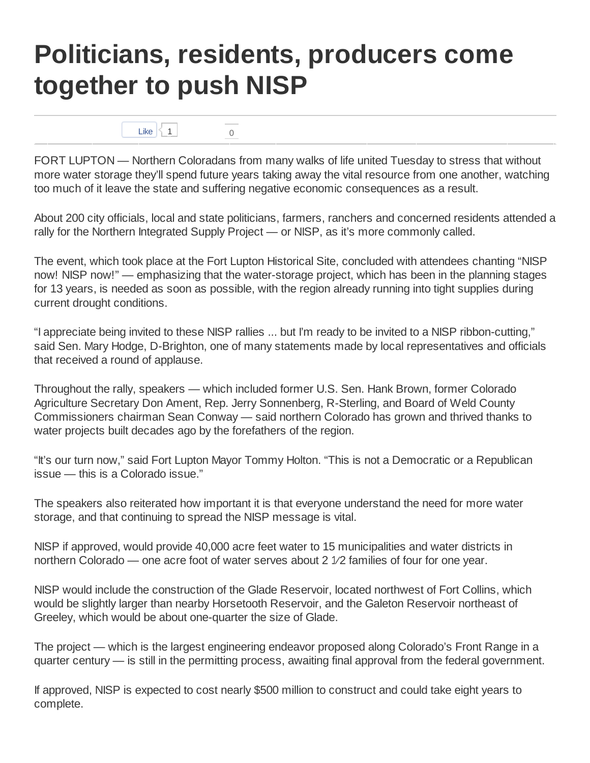## **Politicians, residents, producers come together to push NISP**

Like  $\begin{array}{|c|c|c|}\n\hline\n1 & 0\n\end{array}$ 

FORT LUPTON — Northern Coloradans from many walks of life united Tuesday to stress that without more water storage they'll spend future years taking away the vital resource from one another, watching too much of it leave the state and suffering negative economic consequences as a result.

About 200 city officials, local and state politicians, farmers, ranchers and concerned residents attended a rally for the Northern Integrated Supply Project — or NISP, as it's more commonly called.

The event, which took place at the Fort Lupton Historical Site, concluded with attendees chanting "NISP now! NISP now!" — emphasizing that the water-storage project, which has been in the planning stages for 13 years, is needed as soon as possible, with the region already running into tight supplies during current drought conditions.

"I appreciate being invited to these NISP rallies ... but I'm ready to be invited to a NISP ribbon-cutting," said Sen. Mary Hodge, D-Brighton, one of many statements made by local representatives and officials that received a round of applause.

Throughout the rally, speakers — which included former U.S. Sen. Hank Brown, former Colorado Agriculture Secretary Don Ament, Rep. Jerry Sonnenberg, R-Sterling, and Board of Weld County Commissioners chairman Sean Conway — said northern Colorado has grown and thrived thanks to water projects built decades ago by the forefathers of the region.

"It's our turn now," said Fort Lupton Mayor Tommy Holton. "This is not a Democratic or a Republican issue — this is a Colorado issue."

The speakers also reiterated how important it is that everyone understand the need for more water storage, and that continuing to spread the NISP message is vital.

NISP if approved, would provide 40,000 acre feet water to 15 municipalities and water districts in northern Colorado — one acre foot of water serves about 2 1⁄2 families of four for one year.

NISP would include the construction of the Glade Reservoir, located northwest of Fort Collins, which would be slightly larger than nearby Horsetooth Reservoir, and the Galeton Reservoir northeast of Greeley, which would be about one-quarter the size of Glade.

The project — which is the largest engineering endeavor proposed along Colorado's Front Range in a quarter century — is still in the permitting process, awaiting final approval from the federal government.

If approved, NISP is expected to cost nearly \$500 million to construct and could take eight years to complete.